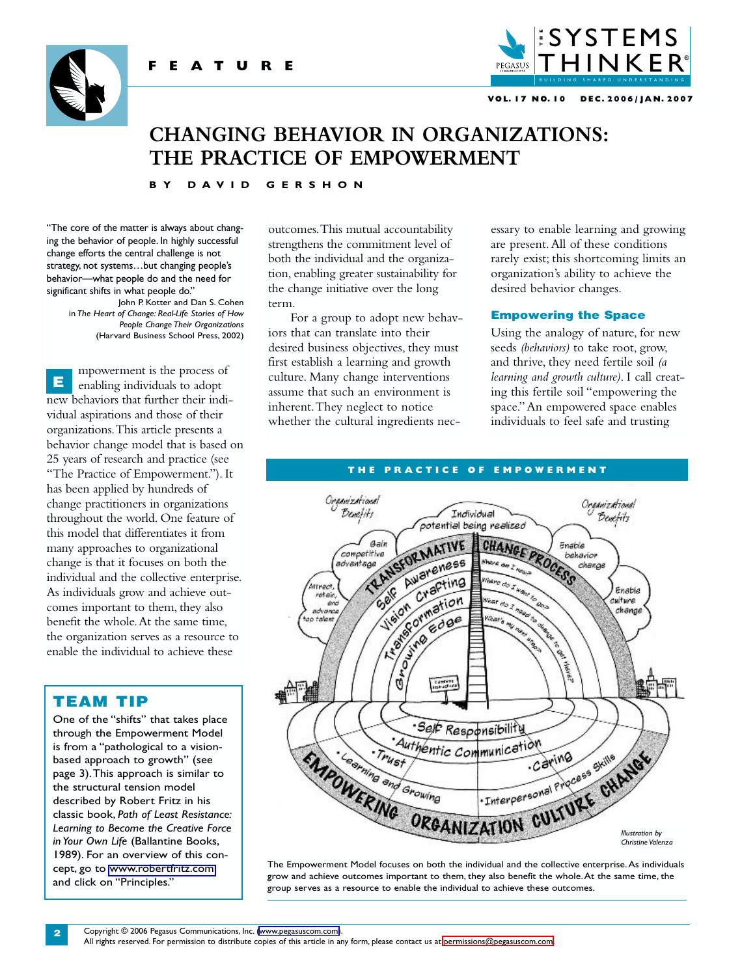





#### **VOL. 17 NO. 10 DEC. 2006 / JAN. 2007**

# **CHANGING BEHAVIOR IN ORGANIZATIONS: THE PRACTICE OF EMPOWERMENT**

#### **BY DAVID GERSHON**

"The core of the matter is always about changing the behavior of people. In highly successful change efforts the central challenge is not strategy, not systems…but changing people's behavior—what people do and the need for significant shifts in what people do."

> John P. Kotter and Dan S. Cohen in *The Heart of Change: Real-Life Stories of How People Change Their Organizations* (Harvard Business School Press, 2002)

mpowerment is the process of enabling individuals to adopt new behaviors that further their individual aspirations and those of their organizations.This article presents a behavior change model that is based on 25 years of research and practice (see "The Practice of Empowerment."). It has been applied by hundreds of change practitioners in organizations throughout the world. One feature of this model that differentiates it from many approaches to organizational change is that it focuses on both the individual and the collective enterprise. As individuals grow and achieve outcomes important to them, they also benefit the whole.At the same time, the organization serves as a resource to enable the individual to achieve these E

## TEAM TIP

One of the "shifts" that takes place through the Empowerment Model is from a "pathological to a visionbased approach to growth" (see page 3).This approach is similar to the structural tension model described by Robert Fritz in his classic book, *Path of Least Resistance: Learning to Become the Creative Force in Your Own Life* (Ballantine Books, 1989). For an overview of this concept, go to [www.robertfritz.com](http://www.robertfritz.com) and click on "Principles."

outcomes.This mutual accountability strengthens the commitment level of both the individual and the organization, enabling greater sustainability for the change initiative over the long term.

For a group to adopt new behaviors that can translate into their desired business objectives, they must first establish a learning and growth culture. Many change interventions assume that such an environment is inherent.They neglect to notice whether the cultural ingredients necessary to enable learning and growing are present.All of these conditions rarely exist; this shortcoming limits an organization's ability to achieve the desired behavior changes.

#### Empowering the Space

Using the analogy of nature, for new seeds *(behaviors)* to take root, grow, and thrive, they need fertile soil *(a learning and growth culture)*. I call creating this fertile soil "empowering the space."An empowered space enables individuals to feel safe and trusting

#### **THE PRACTICE OF EMPOWERMENT**



The Empowerment Model focuses on both the individual and the collective enterprise.As individuals grow and achieve outcomes important to them, they also benefit the whole.At the same time, the group serves as a resource to enable the individual to achieve these outcomes.

All rights reserved. For permission to distribute copies of this article in any form, please contact us at [permissions@pegasuscom.com.](mailto:permissions@pegasuscom.com)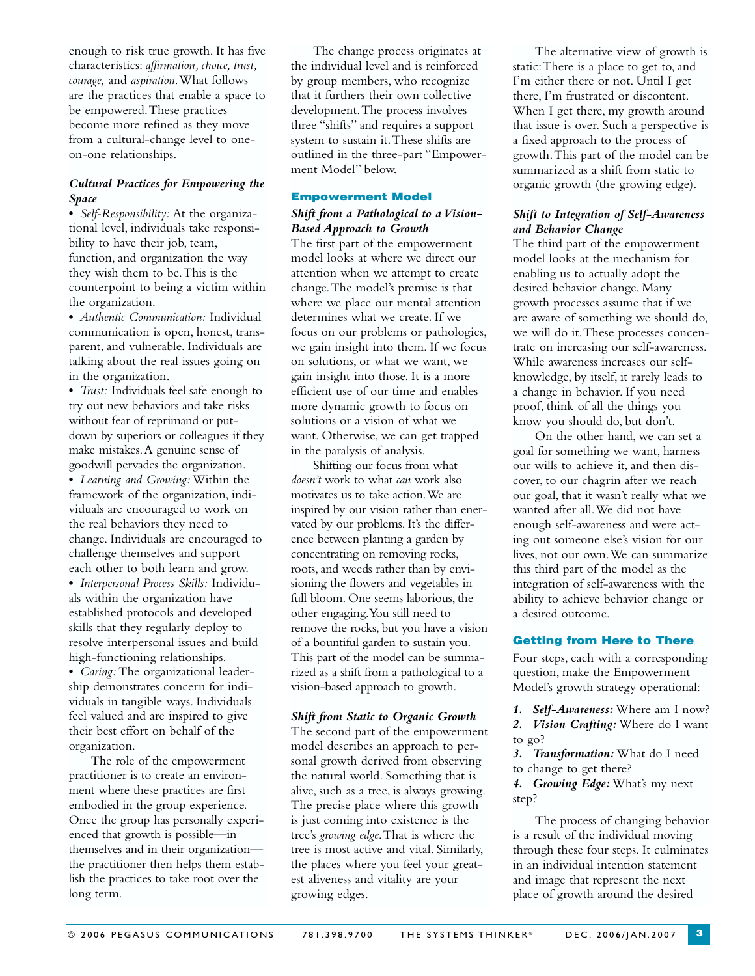enough to risk true growth. It has five characteristics: *affirmation, choice, trust, courage,* and *aspiration*.What follows are the practices that enable a space to be empowered.These practices become more refined as they move from a cultural-change level to oneon-one relationships.

## *Cultural Practices for Empowering the Space*

**•** *Self-Responsibility:* At the organizational level, individuals take responsibility to have their job, team, function, and organization the way they wish them to be.This is the counterpoint to being a victim within the organization.

**•** *Authentic Communication:* Individual communication is open, honest, transparent, and vulnerable. Individuals are talking about the real issues going on in the organization.

**•** *Trust:* Individuals feel safe enough to try out new behaviors and take risks without fear of reprimand or putdown by superiors or colleagues if they make mistakes.A genuine sense of goodwill pervades the organization.

**•** *Learning and Growing:* Within the framework of the organization, individuals are encouraged to work on the real behaviors they need to change. Individuals are encouraged to challenge themselves and support each other to both learn and grow.

**•** *Interpersonal Process Skills:* Individuals within the organization have established protocols and developed skills that they regularly deploy to resolve interpersonal issues and build high-functioning relationships. **•** *Caring:* The organizational leadership demonstrates concern for individuals in tangible ways. Individuals feel valued and are inspired to give their best effort on behalf of the organization.

The role of the empowerment practitioner is to create an environment where these practices are first embodied in the group experience. Once the group has personally experienced that growth is possible—in themselves and in their organization the practitioner then helps them establish the practices to take root over the long term.

The change process originates at the individual level and is reinforced by group members, who recognize that it furthers their own collective development.The process involves three "shifts" and requires a support system to sustain it.These shifts are outlined in the three-part "Empowerment Model" below.

## Empowerment Model

#### *Shift from a Pathological to a Vision-Based Approach to Growth*

The first part of the empowerment model looks at where we direct our attention when we attempt to create change.The model's premise is that where we place our mental attention determines what we create. If we focus on our problems or pathologies, we gain insight into them. If we focus on solutions, or what we want, we gain insight into those. It is a more efficient use of our time and enables more dynamic growth to focus on solutions or a vision of what we want. Otherwise, we can get trapped in the paralysis of analysis.

Shifting our focus from what *doesn't* work to what *can* work also motivates us to take action.We are inspired by our vision rather than enervated by our problems. It's the difference between planting a garden by concentrating on removing rocks, roots, and weeds rather than by envisioning the flowers and vegetables in full bloom. One seems laborious, the other engaging.You still need to remove the rocks, but you have a vision of a bountiful garden to sustain you. This part of the model can be summarized as a shift from a pathological to a vision-based approach to growth.

## *Shift from Static to Organic Growth*  The second part of the empowerment model describes an approach to personal growth derived from observing the natural world. Something that is alive, such as a tree, is always growing. The precise place where this growth is just coming into existence is the tree's *growing edge*.That is where the tree is most active and vital. Similarly, the places where you feel your greatest aliveness and vitality are your growing edges.

The alternative view of growth is static:There is a place to get to, and I'm either there or not. Until I get there, I'm frustrated or discontent. When I get there, my growth around that issue is over. Such a perspective is a fixed approach to the process of growth.This part of the model can be summarized as a shift from static to organic growth (the growing edge).

## *Shift to Integration of Self-Awareness and Behavior Change*

The third part of the empowerment model looks at the mechanism for enabling us to actually adopt the desired behavior change. Many growth processes assume that if we are aware of something we should do, we will do it.These processes concentrate on increasing our self-awareness. While awareness increases our selfknowledge, by itself, it rarely leads to a change in behavior. If you need proof, think of all the things you know you should do, but don't.

On the other hand, we can set a goal for something we want, harness our wills to achieve it, and then discover, to our chagrin after we reach our goal, that it wasn't really what we wanted after all.We did not have enough self-awareness and were acting out someone else's vision for our lives, not our own.We can summarize this third part of the model as the integration of self-awareness with the ability to achieve behavior change or a desired outcome.

#### Getting from Here to There

Four steps, each with a corresponding question, make the Empowerment Model's growth strategy operational:

- *1. Self-Awareness:* Where am I now?
- *2. Vision Crafting:* Where do I want to go?

*3. Transformation:* What do I need to change to get there?

*4. Growing Edge:* What's my next step?

The process of changing behavior is a result of the individual moving through these four steps. It culminates in an individual intention statement and image that represent the next place of growth around the desired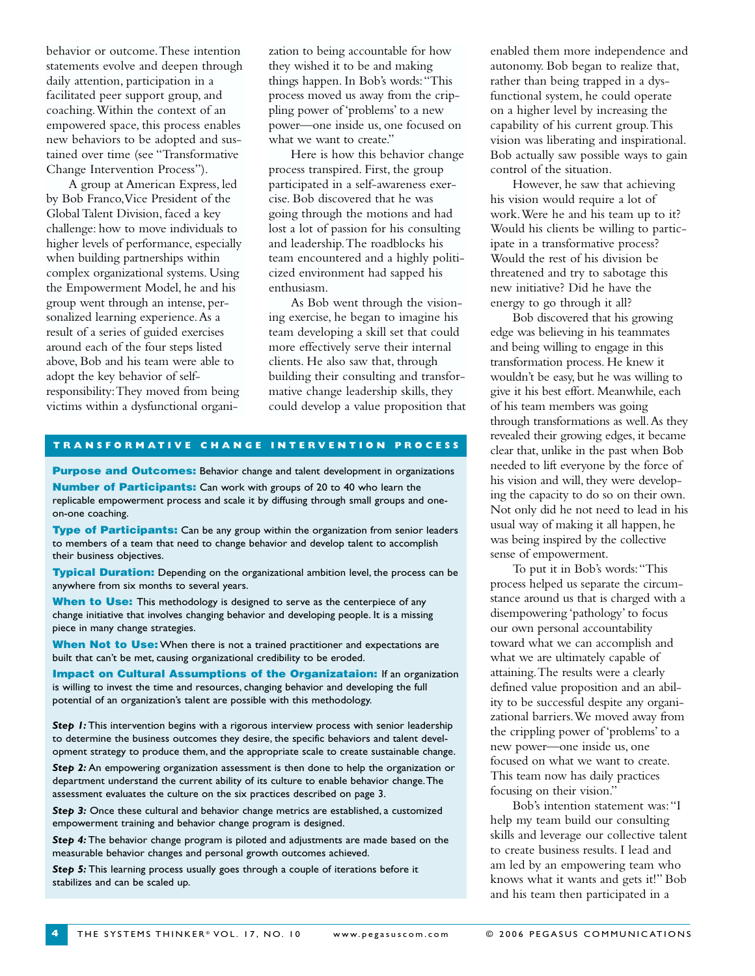behavior or outcome.These intention statements evolve and deepen through daily attention, participation in a facilitated peer support group, and coaching.Within the context of an empowered space, this process enables new behaviors to be adopted and sustained over time (see "Transformative Change Intervention Process").

A group at American Express, led by Bob Franco,Vice President of the Global Talent Division, faced a key challenge: how to move individuals to higher levels of performance, especially when building partnerships within complex organizational systems. Using the Empowerment Model, he and his group went through an intense, personalized learning experience.As a result of a series of guided exercises around each of the four steps listed above, Bob and his team were able to adopt the key behavior of selfresponsibility:They moved from being victims within a dysfunctional organization to being accountable for how they wished it to be and making things happen. In Bob's words:"This process moved us away from the crippling power of 'problems' to a new power—one inside us, one focused on what we want to create."

Here is how this behavior change process transpired. First, the group participated in a self-awareness exercise. Bob discovered that he was going through the motions and had lost a lot of passion for his consulting and leadership.The roadblocks his team encountered and a highly politicized environment had sapped his enthusiasm.

As Bob went through the visioning exercise, he began to imagine his team developing a skill set that could more effectively serve their internal clients. He also saw that, through building their consulting and transformative change leadership skills, they could develop a value proposition that

#### **TRANSFORMATIVE CHANGE INTERVENTION PROCESS**

**Purpose and Outcomes:** Behavior change and talent development in organizations

**Number of Participants:** Can work with groups of 20 to 40 who learn the replicable empowerment process and scale it by diffusing through small groups and oneon-one coaching.

Type of Participants: Can be any group within the organization from senior leaders to members of a team that need to change behavior and develop talent to accomplish their business objectives.

**Typical Duration:** Depending on the organizational ambition level, the process can be anywhere from six months to several years.

When to Use: This methodology is designed to serve as the centerpiece of any change initiative that involves changing behavior and developing people. It is a missing piece in many change strategies.

When Not to Use: When there is not a trained practitioner and expectations are built that can't be met, causing organizational credibility to be eroded.

Impact on Cultural Assumptions of the Organizataion: If an organization is willing to invest the time and resources, changing behavior and developing the full potential of an organization's talent are possible with this methodology.

*Step 1:* This intervention begins with a rigorous interview process with senior leadership to determine the business outcomes they desire, the specific behaviors and talent development strategy to produce them, and the appropriate scale to create sustainable change.

**Step 2:** An empowering organization assessment is then done to help the organization or department understand the current ability of its culture to enable behavior change.The assessment evaluates the culture on the six practices described on page 3.

*Step 3:* Once these cultural and behavior change metrics are established, a customized empowerment training and behavior change program is designed.

*Step 4:* The behavior change program is piloted and adjustments are made based on the measurable behavior changes and personal growth outcomes achieved.

*Step 5:* This learning process usually goes through a couple of iterations before it stabilizes and can be scaled up.

enabled them more independence and autonomy. Bob began to realize that, rather than being trapped in a dysfunctional system, he could operate on a higher level by increasing the capability of his current group.This vision was liberating and inspirational. Bob actually saw possible ways to gain control of the situation.

However, he saw that achieving his vision would require a lot of work.Were he and his team up to it? Would his clients be willing to participate in a transformative process? Would the rest of his division be threatened and try to sabotage this new initiative? Did he have the energy to go through it all?

Bob discovered that his growing edge was believing in his teammates and being willing to engage in this transformation process. He knew it wouldn't be easy, but he was willing to give it his best effort. Meanwhile, each of his team members was going through transformations as well.As they revealed their growing edges, it became clear that, unlike in the past when Bob needed to lift everyone by the force of his vision and will, they were developing the capacity to do so on their own. Not only did he not need to lead in his usual way of making it all happen, he was being inspired by the collective sense of empowerment.

To put it in Bob's words:"This process helped us separate the circumstance around us that is charged with a disempowering 'pathology' to focus our own personal accountability toward what we can accomplish and what we are ultimately capable of attaining.The results were a clearly defined value proposition and an ability to be successful despite any organizational barriers.We moved away from the crippling power of 'problems' to a new power—one inside us, one focused on what we want to create. This team now has daily practices focusing on their vision."

Bob's intention statement was:"I help my team build our consulting skills and leverage our collective talent to create business results. I lead and am led by an empowering team who knows what it wants and gets it!" Bob and his team then participated in a